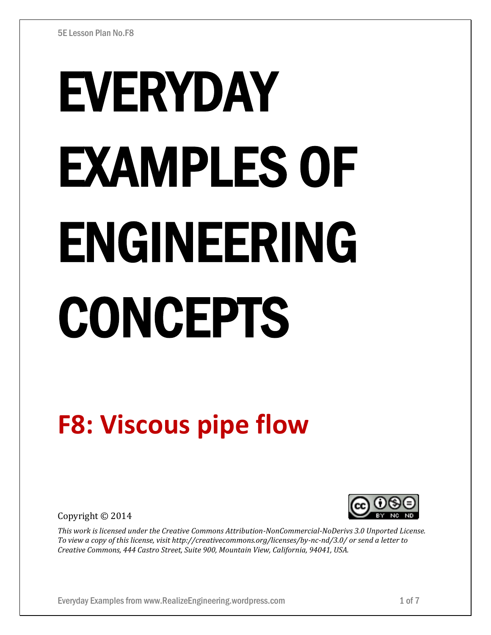# EVERYDAY EXAMPLES OF ENGINEERING CONCEPTS

# **F8: Viscous pipe flow**

Copyright © 2014



*This work is licensed under the Creative Commons Attribution-NonCommercial-NoDerivs 3.0 Unported License. To view a copy of this license, visit http://creativecommons.org/licenses/by-nc-nd/3.0/ or send a letter to Creative Commons, 444 Castro Street, Suite 900, Mountain View, California, 94041, USA.*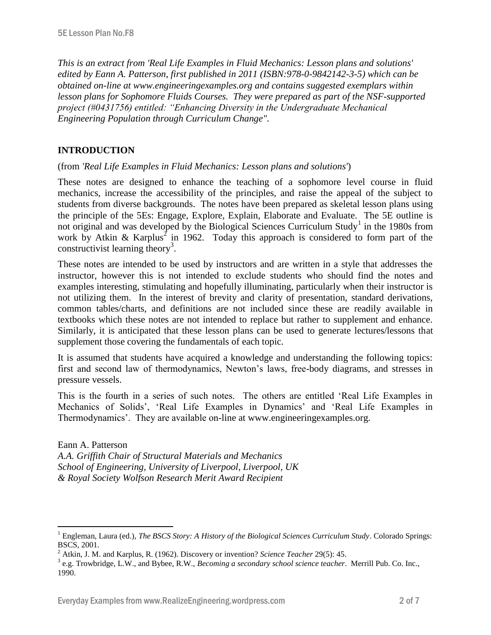*This is an extract from 'Real Life Examples in Fluid Mechanics: Lesson plans and solutions' edited by Eann A. Patterson, first published in 2011 (ISBN:978-0-9842142-3-5) which can be obtained on-line at www.engineeringexamples.org and contains suggested exemplars within lesson plans for Sophomore Fluids Courses. They were prepared as part of the NSF-supported project (#0431756) entitled: "Enhancing Diversity in the Undergraduate Mechanical Engineering Population through Curriculum Change".* 

# **INTRODUCTION**

 $\overline{a}$ 

(from *'Real Life Examples in Fluid Mechanics: Lesson plans and solutions'*)

These notes are designed to enhance the teaching of a sophomore level course in fluid mechanics, increase the accessibility of the principles, and raise the appeal of the subject to students from diverse backgrounds. The notes have been prepared as skeletal lesson plans using the principle of the 5Es: Engage, Explore, Explain, Elaborate and Evaluate. The 5E outline is not original and was developed by the Biological Sciences Curriculum Study<sup>1</sup> in the 1980s from work by Atkin & Karplus<sup>2</sup> in 1962. Today this approach is considered to form part of the constructivist learning theory<sup>3</sup>.

These notes are intended to be used by instructors and are written in a style that addresses the instructor, however this is not intended to exclude students who should find the notes and examples interesting, stimulating and hopefully illuminating, particularly when their instructor is not utilizing them. In the interest of brevity and clarity of presentation, standard derivations, common tables/charts, and definitions are not included since these are readily available in textbooks which these notes are not intended to replace but rather to supplement and enhance. Similarly, it is anticipated that these lesson plans can be used to generate lectures/lessons that supplement those covering the fundamentals of each topic.

It is assumed that students have acquired a knowledge and understanding the following topics: first and second law of thermodynamics, Newton's laws, free-body diagrams, and stresses in pressure vessels.

This is the fourth in a series of such notes. The others are entitled 'Real Life Examples in Mechanics of Solids', 'Real Life Examples in Dynamics' and 'Real Life Examples in Thermodynamics'. They are available on-line at www.engineeringexamples.org.

Eann A. Patterson *A.A. Griffith Chair of Structural Materials and Mechanics School of Engineering, University of Liverpool, Liverpool, UK & Royal Society Wolfson Research Merit Award Recipient*

<sup>1</sup> Engleman, Laura (ed.), *The BSCS Story: A History of the Biological Sciences Curriculum Study*. Colorado Springs: BSCS, 2001.

<sup>2</sup> Atkin, J. M. and Karplus, R. (1962). Discovery or invention? *Science Teacher* 29(5): 45.

<sup>3</sup> e.g. Trowbridge, L.W., and Bybee, R.W., *Becoming a secondary school science teacher*. Merrill Pub. Co. Inc., 1990.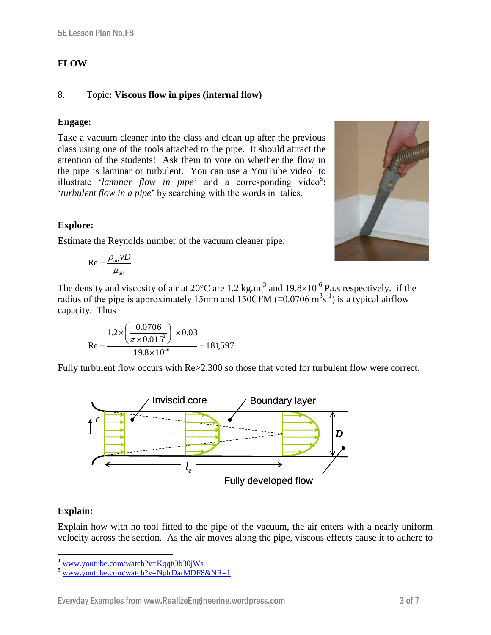## **FLOW**

### 8. Topic**: Viscous flow in pipes (internal flow)**

#### **Engage:**

Take a vacuum cleaner into the class and clean up after the previous class using one of the tools attached to the pipe. It should attract the attention of the students! Ask them to vote on whether the flow in the pipe is laminar or turbulent. You can use a YouTube video $4$  to illustrate '*laminar flow in pipe*' and a corresponding video<sup>5</sup>: '*turbulent flow in a pipe*' by searching with the words in italics.



Estimate the Reynolds number of the vacuum cleaner pipe:

$$
\text{Re} = \frac{\rho_{air} \nu D}{\mu_{air}}
$$

The density and viscosity of air at 20 $^{\circ}$ C are 1.2 kg.m<sup>-3</sup> and 19.8×10<sup>-6</sup> Pa.s respectively. if the radius of the pipe is approximately 15mm and 150CFM ( $\equiv$ 0.0706 m<sup>3</sup>s<sup>-1</sup>) is a typical airflow capacity. Thus

Re = 
$$
\frac{1.2 \times \left(\frac{0.0706}{\pi \times 0.015^2}\right) \times 0.03}{19.8 \times 10^{-6}} = 181,597
$$

Fully turbulent flow occurs with  $Re > 2,300$  so those that voted for turbulent flow were correct.



#### **Explain:**

 $\overline{a}$ 

Explain how with no tool fitted to the pipe of the vacuum, the air enters with a nearly uniform velocity across the section. As the air moves along the pipe, viscous effects cause it to adhere to



www.youtube.com/watch?v=KqqtOb30iWs

[www.youtube.com/watch?v=NplrDarMDF8&NR=1](http://www.youtube.com/watch?v=NplrDarMDF8&NR=1)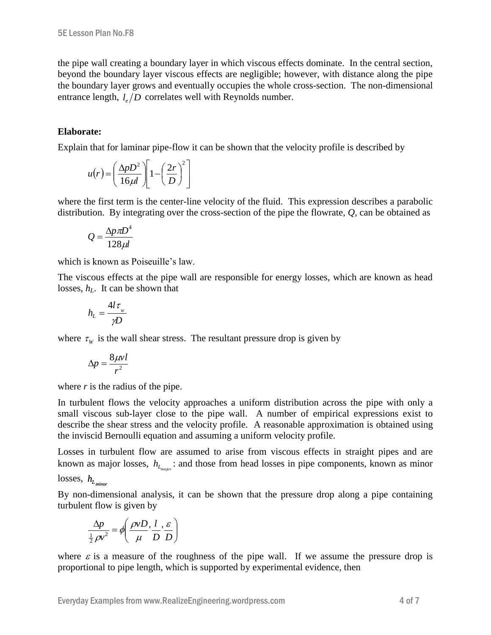the pipe wall creating a boundary layer in which viscous effects dominate. In the central section, beyond the boundary layer viscous effects are negligible; however, with distance along the pipe the boundary layer grows and eventually occupies the whole cross-section. The non-dimensional entrance length,  $l_e/D$  correlates well with Reynolds number.

#### **Elaborate:**

Explain that for laminar pipe-flow it can be shown that the velocity profile is described by

$$
u(r) = \left(\frac{\Delta p D^2}{16 \mu l}\right) \left[1 - \left(\frac{2r}{D}\right)^2\right]
$$

where the first term is the center-line velocity of the fluid. This expression describes a parabolic distribution. By integrating over the cross-section of the pipe the flowrate, *Q*, can be obtained as

$$
Q = \frac{\Delta p \pi D^4}{128 \mu l}
$$

which is known as Poiseuille's law.

The viscous effects at the pipe wall are responsible for energy losses, which are known as head losses, *hL*. It can be shown that

$$
h_{L} = \frac{4l\,\tau_{w}}{\gamma D}
$$

where  $\tau_w$  is the wall shear stress. The resultant pressure drop is given by

$$
\Delta p = \frac{8\mu v l}{r^2}
$$

where *r* is the radius of the pipe.

In turbulent flows the velocity approaches a uniform distribution across the pipe with only a small viscous sub-layer close to the pipe wall. A number of empirical expressions exist to describe the shear stress and the velocity profile. A reasonable approximation is obtained using the inviscid Bernoulli equation and assuming a uniform velocity profile.

Losses in turbulent flow are assumed to arise from viscous effects in straight pipes and are known as major losses,  $h_{L_{map}}$ : and those from head losses in pipe components, known as minor

losses, *L h minor*

By non-dimensional analysis, it can be shown that the pressure drop along a pipe containing turbulent flow is given by

$$
\frac{\Delta p}{\frac{1}{2}\rho v^2} = \phi \left( \frac{\rho v D}{\mu}, \frac{l}{D}, \frac{\varepsilon}{D} \right)
$$

where  $\varepsilon$  is a measure of the roughness of the pipe wall. If we assume the pressure drop is proportional to pipe length, which is supported by experimental evidence, then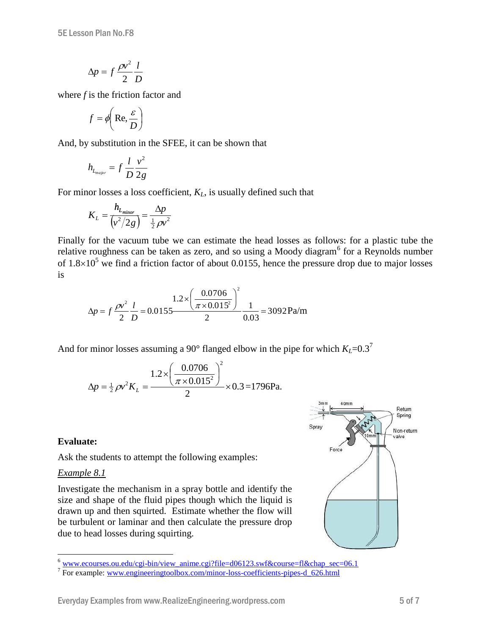$$
\Delta p = f \frac{\rho v^2}{2} \frac{l}{D}
$$

where *f* is the friction factor and

$$
f = \phi\!\left(\text{Re}, \frac{\varepsilon}{D}\right)
$$

And, by substitution in the SFEE, it can be shown that

$$
h_{L_{major}} = f \frac{l}{D} \frac{v^2}{2g}
$$

For minor losses a loss coefficient, *KL*, is usually defined such that

$$
K_L = \frac{h_{L_{minor}}}{\left(\frac{v^2}{2g}\right)} = \frac{\Delta p}{\frac{1}{2}\rho v^2}
$$

Finally for the vacuum tube we can estimate the head losses as follows: for a plastic tube the relative roughness can be taken as zero, and so using a Moody diagram<sup>6</sup> for a Reynolds number of  $1.8\times10^5$  we find a friction factor of about 0.0155, hence the pressure drop due to major losses is

$$
\Delta p = f \frac{\rho v^2}{2} \frac{l}{D} = 0.0155 \frac{1.2 \times \left(\frac{0.0706}{\pi \times 0.015^2}\right)^2}{2} \frac{1}{0.03} = 3092 \text{ Pa/m}
$$

And for minor losses assuming a 90° flanged elbow in the pipe for which  $K<sub>L</sub>=0.3<sup>7</sup>$ 

$$
\Delta p = \frac{1}{2} \rho v^2 K_L = \frac{1.2 \times \left(\frac{0.0706}{\pi \times 0.015^2}\right)^2}{2} \times 0.3 = 1796 \text{Pa}.
$$

# **Evaluate:**

Ask the students to attempt the following examples:

#### *Example 8.1*

 $\overline{a}$ 

Investigate the mechanism in a spray bottle and identify the size and shape of the fluid pipes though which the liquid is drawn up and then squirted. Estimate whether the flow will be turbulent or laminar and then calculate the pressure drop due to head losses during squirting.



 $6$  [www.ecourses.ou.edu/cgi-bin/view\\_anime.cgi?file=d06123.swf&course=fl&chap\\_sec=06.1](http://www.ecourses.ou.edu/cgi-bin/view_anime.cgi?file=d06123.swf&course=fl&chap_sec=06.1)

<sup>&</sup>lt;sup>7</sup> For example: [www.engineeringtoolbox.com/minor-loss-coefficients-pipes-d\\_626.html](http://www.engineeringtoolbox.com/minor-loss-coefficients-pipes-d_626.html)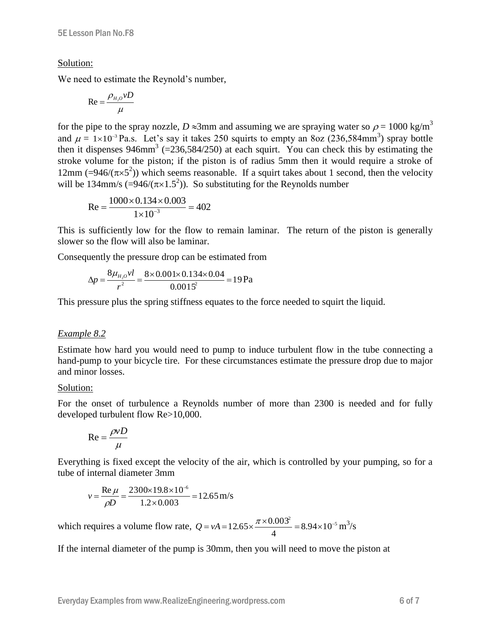#### Solution:

We need to estimate the Reynold's number,

$$
\text{Re} = \frac{\rho_{H_2O} \nu D}{\mu}
$$

for the pipe to the spray nozzle,  $D \approx 3$ mm and assuming we are spraying water so  $\rho = 1000 \text{ kg/m}^3$ and  $\mu = 1 \times 10^{-3}$  Pa.s. Let's say it takes 250 squirts to empty an 8oz (236,584mm<sup>3</sup>) spray bottle then it dispenses  $946$ mm<sup>3</sup> (=236,584/250) at each squirt. You can check this by estimating the stroke volume for the piston; if the piston is of radius 5mm then it would require a stroke of 12mm (=946/( $\pi \times 5^2$ )) which seems reasonable. If a squirt takes about 1 second, then the velocity will be 134mm/s (=946/( $\pi \times 1.5^2$ )). So substituting for the Reynolds number

$$
Re = \frac{1000 \times 0.134 \times 0.003}{1 \times 10^{-3}} = 402
$$

This is sufficiently low for the flow to remain laminar. The return of the piston is generally slower so the flow will also be laminar.

Consequently the pressure drop can be estimated from

$$
\Delta p = \frac{8\mu_{H_2O}vl}{r^2} = \frac{8 \times 0.001 \times 0.134 \times 0.04}{0.0015^2} = 19 \,\text{Pa}
$$

This pressure plus the spring stiffness equates to the force needed to squirt the liquid.

#### *Example 8.2*

Estimate how hard you would need to pump to induce turbulent flow in the tube connecting a hand-pump to your bicycle tire. For these circumstances estimate the pressure drop due to major and minor losses.

#### Solution:

For the onset of turbulence a Reynolds number of more than 2300 is needed and for fully developed turbulent flow Re>10,000.

$$
Re = \frac{\rho v D}{\mu}
$$

Everything is fixed except the velocity of the air, which is controlled by your pumping, so for a tube of internal diameter 3mm

$$
v = \frac{\text{Re}\,\mu}{\rho D} = \frac{2300 \times 19.8 \times 10^{-6}}{1.2 \times 0.003} = 12.65 \,\text{m/s}
$$

which requires a volume flow rate,  $Q = vA = 12.65 \times \frac{\pi \times 0.003^2}{1.65} = 8.94 \times 10^{-5}$ 4  $Q = vA = 12.65 \times \frac{\pi \times 0.003^2}{1.0000} = 8.94 \times 10^{-5} \text{ m}^3/\text{s}$ 

If the internal diameter of the pump is 30mm, then you will need to move the piston at